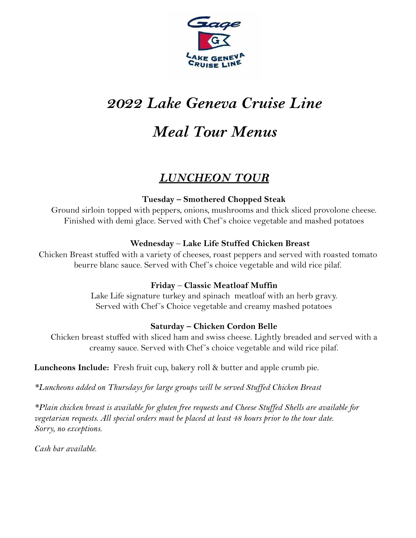

# *2022 Lake Geneva Cruise Line*

## *Meal Tour Menus*

### *LUNCHEON TOUR*

#### **Tuesday – Smothered Chopped Steak**

Ground sirloin topped with peppers, onions, mushrooms and thick sliced provolone cheese. Finished with demi glace. Served with Chef 's choice vegetable and mashed potatoes

#### **Wednesday** – **Lake Life Stuffed Chicken Breast**

Chicken Breast stuffed with a variety of cheeses, roast peppers and served with roasted tomato beurre blanc sauce. Served with Chef 's choice vegetable and wild rice pilaf.

#### **Friday** – **Classic Meatloaf Muffin**

Lake Life signature turkey and spinach meatloaf with an herb gravy. Served with Chef's Choice vegetable and creamy mashed potatoes

#### **Saturday – Chicken Cordon Belle**

Chicken breast stuffed with sliced ham and swiss cheese. Lightly breaded and served with a creamy sauce. Served with Chef 's choice vegetable and wild rice pilaf.

**Luncheons Include:** Fresh fruit cup, bakery roll & butter and apple crumb pie.

*\*Luncheons added on Thursdays for large groups will be served Stuf ed Chicken Breast*

*\*Plain chicken breast is available for gluten free requests and Cheese Stuf ed Shells are available for vegetarian requests. All special orders must be placed at least 48 hours prior to the tour date. Sorry, no exceptions.*

*Cash bar available.*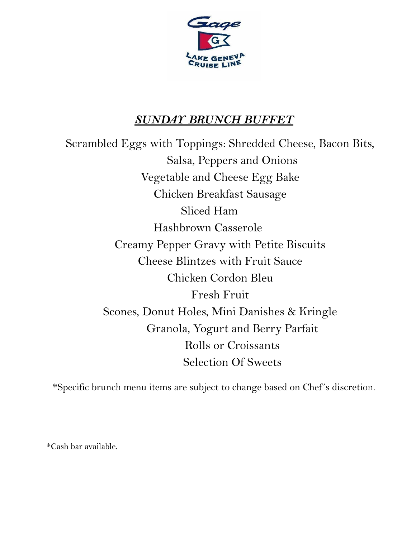

### *SUNDAY BRUNCH BUFFET*

Scrambled Eggs with Toppings: Shredded Cheese, Bacon Bits, Salsa, Peppers and Onions Vegetable and Cheese Egg Bake Chicken Breakfast Sausage Sliced Ham Hashbrown Casserole Creamy Pepper Gravy with Petite Biscuits Cheese Blintzes with Fruit Sauce Chicken Cordon Bleu Fresh Fruit Scones, Donut Holes, Mini Danishes & Kringle Granola, Yogurt and Berry Parfait Rolls or Croissants Selection Of Sweets

\*Specific brunch menu items are subject to change based on Chef 's discretion.

\*Cash bar available.